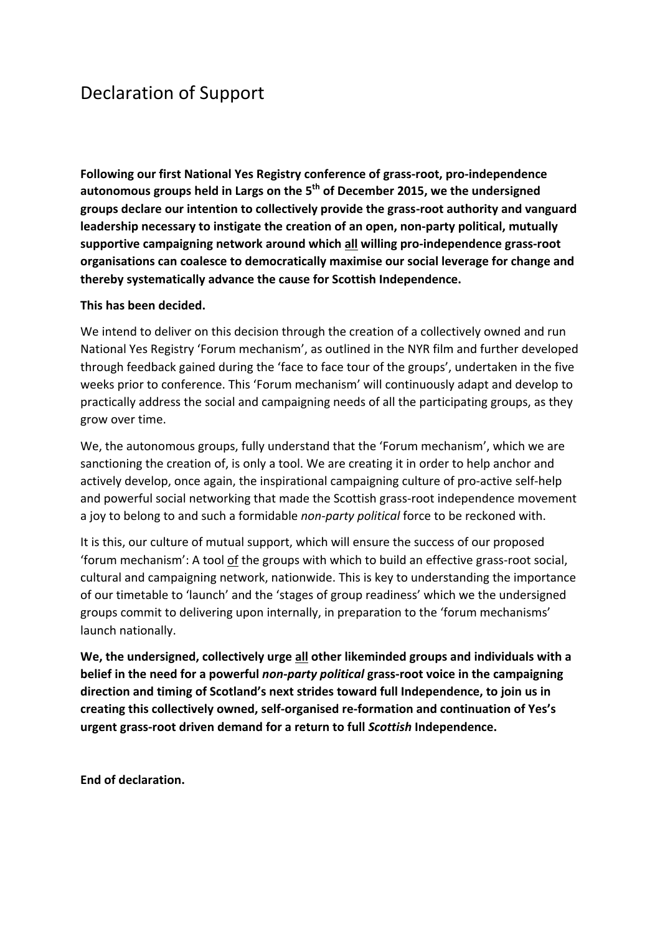## Declaration of Support

Following our first National Yes Registry conference of grass-root, pro-independence autonomous groups held in Largs on the 5<sup>th</sup> of December 2015, we the undersigned groups declare our intention to collectively provide the grass-root authority and vanguard leadership necessary to instigate the creation of an open, non-party political, mutually supportive campaigning network around which all willing pro-independence grass-root organisations can coalesce to democratically maximise our social leverage for change and **thereby systematically advance the cause for Scottish Independence.**

## This has been decided.

We intend to deliver on this decision through the creation of a collectively owned and run National Yes Registry 'Forum mechanism', as outlined in the NYR film and further developed through feedback gained during the 'face to face tour of the groups', undertaken in the five weeks prior to conference. This 'Forum mechanism' will continuously adapt and develop to practically address the social and campaigning needs of all the participating groups, as they grow over time.

We, the autonomous groups, fully understand that the 'Forum mechanism', which we are sanctioning the creation of, is only a tool. We are creating it in order to help anchor and actively develop, once again, the inspirational campaigning culture of pro-active self-help and powerful social networking that made the Scottish grass-root independence movement a joy to belong to and such a formidable *non-party political* force to be reckoned with.

It is this, our culture of mutual support, which will ensure the success of our proposed 'forum mechanism': A tool of the groups with which to build an effective grass-root social, cultural and campaigning network, nationwide. This is key to understanding the importance of our timetable to 'launch' and the 'stages of group readiness' which we the undersigned groups commit to delivering upon internally, in preparation to the 'forum mechanisms' launch nationally.

We, the undersigned, collectively urge all other likeminded groups and individuals with a belief in the need for a powerful *non-party political* grass-root voice in the campaigning direction and timing of Scotland's next strides toward full Independence, to join us in creating this collectively owned, self-organised re-formation and continuation of Yes's **urgent grass-root driven demand for a return to full** *Scottish* **Independence.** 

**End of declaration.**